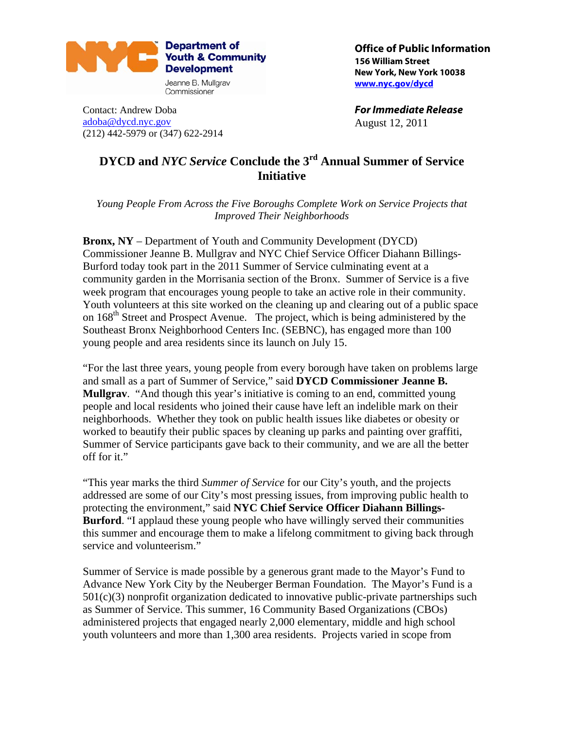

Contact: Andrew Doba [adoba@dycd.nyc.gov](mailto:adoba@dycd.nyc.gov) (212) 442-5979 or (347) 622-2914 **Office of Public Information 156 William Street New York, New York 10038 [www.nyc.gov/dycd](http://www.nyc.gov/dycd)**

**For Immediate Release**  August 12, 2011

## **DYCD and** *NYC Service* **Conclude the 3rd Annual Summer of Service Initiative**

*Young People From Across the Five Boroughs Complete Work on Service Projects that Improved Their Neighborhoods* 

**Bronx, NY** – Department of Youth and Community Development (DYCD) Commissioner Jeanne B. Mullgrav and NYC Chief Service Officer Diahann Billings-Burford today took part in the 2011 Summer of Service culminating event at a community garden in the Morrisania section of the Bronx. Summer of Service is a five week program that encourages young people to take an active role in their community. Youth volunteers at this site worked on the cleaning up and clearing out of a public space on 168<sup>th</sup> Street and Prospect Avenue. The project, which is being administered by the Southeast Bronx Neighborhood Centers Inc. (SEBNC), has engaged more than 100 young people and area residents since its launch on July 15.

"For the last three years, young people from every borough have taken on problems large and small as a part of Summer of Service," said **DYCD Commissioner Jeanne B. Mullgrav**. "And though this year's initiative is coming to an end, committed young people and local residents who joined their cause have left an indelible mark on their neighborhoods. Whether they took on public health issues like diabetes or obesity or worked to beautify their public spaces by cleaning up parks and painting over graffiti, Summer of Service participants gave back to their community, and we are all the better off for it."

"This year marks the third *Summer of Service* for our City's youth, and the projects addressed are some of our City's most pressing issues, from improving public health to protecting the environment," said **NYC Chief Service Officer Diahann Billings-Burford**. "I applaud these young people who have willingly served their communities this summer and encourage them to make a lifelong commitment to giving back through service and volunteerism."

Summer of Service is made possible by a generous grant made to the Mayor's Fund to Advance New York City by the Neuberger Berman Foundation. The Mayor's Fund is a  $501(c)(3)$  nonprofit organization dedicated to innovative public-private partnerships such as Summer of Service. This summer, 16 Community Based Organizations (CBOs) administered projects that engaged nearly 2,000 elementary, middle and high school youth volunteers and more than 1,300 area residents. Projects varied in scope from